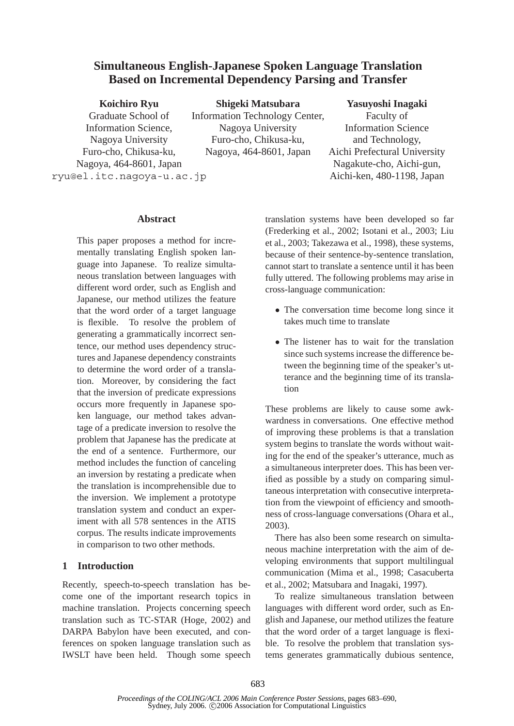# **Simultaneous English-Japanese Spoken Language Translation Based on Incremental Dependency Parsing and Transfer**

| <b>Koichiro Ryu</b>       | Shigeki Matsubara              | Yasuyoshi Inagaki            |
|---------------------------|--------------------------------|------------------------------|
| Graduate School of        | Information Technology Center, | Faculty of                   |
| Information Science,      | Nagoya University              | <b>Information Science</b>   |
| Nagoya University         | Furo-cho, Chikusa-ku,          | and Technology,              |
| Furo-cho, Chikusa-ku,     | Nagoya, 464-8601, Japan        | Aichi Prefectural University |
| Nagoya, 464-8601, Japan   |                                | Nagakute-cho, Aichi-gun,     |
| ryu@el.itc.nagoya-u.ac.jp |                                | Aichi-ken, 480-1198, Japan   |
|                           |                                |                              |

#### **Abstract**

This paper proposes a method for incrementally translating English spoken language into Japanese. To realize simultaneous translation between languages with different word order, such as English and Japanese, our method utilizes the feature that the word order of a target language is flexible. To resolve the problem of generating a grammatically incorrect sentence, our method uses dependency structures and Japanese dependency constraints to determine the word order of a translation. Moreover, by considering the fact that the inversion of predicate expressions occurs more frequently in Japanese spoken language, our method takes advantage of a predicate inversion to resolve the problem that Japanese has the predicate at the end of a sentence. Furthermore, our method includes the function of canceling an inversion by restating a predicate when the translation is incomprehensible due to the inversion. We implement a prototype translation system and conduct an experiment with all 578 sentences in the ATIS corpus. The results indicate improvements in comparison to two other methods.

#### **1 Introduction**

Recently, speech-to-speech translation has become one of the important research topics in machine translation. Projects concerning speech translation such as TC-STAR (Hoge, 2002) and DARPA Babylon have been executed, and conferences on spoken language translation such as IWSLT have been held. Though some speech translation systems have been developed so far (Frederking et al., 2002; Isotani et al., 2003; Liu et al., 2003; Takezawa et al., 1998), these systems, because of their sentence-by-sentence translation, cannot start to translate a sentence until it has been fully uttered. The following problems may arise in cross-language communication:

- The conversation time become long since it takes much time to translate
- The listener has to wait for the translation since such systems increase the difference between the beginning time of the speaker's utterance and the beginning time of its translation

These problems are likely to cause some awkwardness in conversations. One effective method of improving these problems is that a translation system begins to translate the words without waiting for the end of the speaker's utterance, much as a simultaneous interpreter does. This has been verified as possible by a study on comparing simultaneous interpretation with consecutive interpretation from the viewpoint of efficiency and smoothness of cross-language conversations (Ohara et al., 2003).

There has also been some research on simultaneous machine interpretation with the aim of developing environments that support multilingual communication (Mima et al., 1998; Casacuberta et al., 2002; Matsubara and Inagaki, 1997).

To realize simultaneous translation between languages with different word order, such as English and Japanese, our method utilizes the feature that the word order of a target language is flexible. To resolve the problem that translation systems generates grammatically dubious sentence,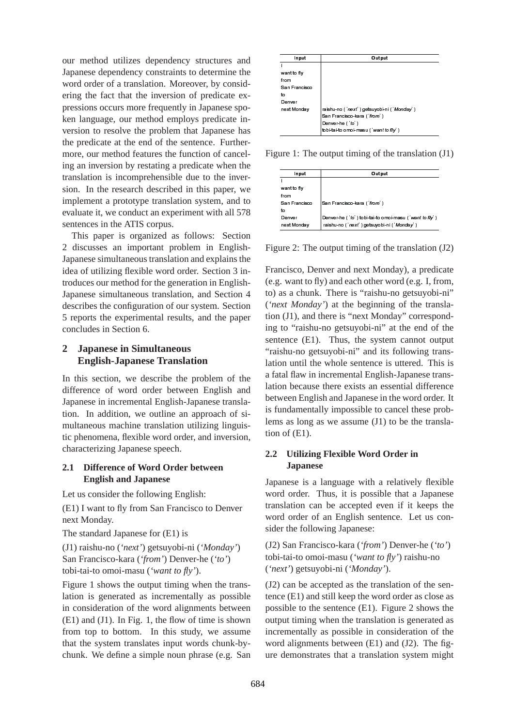our method utilizes dependency structures and Japanese dependency constraints to determine the word order of a translation. Moreover, by considering the fact that the inversion of predicate expressions occurs more frequently in Japanese spoken language, our method employs predicate inversion to resolve the problem that Japanese has the predicate at the end of the sentence. Furthermore, our method features the function of canceling an inversion by restating a predicate when the translation is incomprehensible due to the inversion. In the research described in this paper, we implement a prototype translation system, and to evaluate it, we conduct an experiment with all 578 sentences in the ATIS corpus.

This paper is organized as follows: Section 2 discusses an important problem in English-Japanese simultaneous translation and explains the idea of utilizing flexible word order. Section 3 introduces our method for the generation in English-Japanese simultaneous translation, and Section 4 describes the configuration of our system. Section 5 reports the experimental results, and the paper concludes in Section 6.

## **2 Japanese in Simultaneous English-Japanese Translation**

In this section, we describe the problem of the difference of word order between English and Japanese in incremental English-Japanese translation. In addition, we outline an approach of simultaneous machine translation utilizing linguistic phenomena, flexible word order, and inversion, characterizing Japanese speech.

## **2.1 Difference of Word Order between English and Japanese**

Let us consider the following English:

(E1) I want to fly from San Francisco to Denver next Monday.

The standard Japanese for (E1) is

(J1) raishu-no (*'next'*) getsuyobi-ni (*'Monday'*) San Francisco-kara (*'from'*) Denver-he (*'to'*) tobi-tai-to omoi-masu (*'want to fly'*).

Figure 1 shows the output timing when the translation is generated as incrementally as possible in consideration of the word alignments between (E1) and (J1). In Fig. 1, the flow of time is shown from top to bottom. In this study, we assume that the system translates input words chunk-bychunk. We define a simple noun phrase (e.g. San

| Input         | Output                                     |
|---------------|--------------------------------------------|
|               |                                            |
| want to fly   |                                            |
| from          |                                            |
| San Francisco |                                            |
| to            |                                            |
| Denver        |                                            |
| next Monday   | raishu-no ('next') getsuyobi-ni ('Monday') |
|               | San Francisco kara ('from')                |
|               | Denver-he ('to')                           |
|               | tobi-tai-to omoi-masu ('want to fly')      |

Figure 1: The output timing of the translation (J1)

| Input         | Output                                                 |
|---------------|--------------------------------------------------------|
|               |                                                        |
| want to fly   |                                                        |
| from          |                                                        |
| San Francisco | San Francisco kara ('from')                            |
| to            |                                                        |
| Denver        | Denver-he ('to') tobi-tai-to omoi-masu ('want to fly') |
| next Monday   | raishu-no ('next') getsuyobi-ni ('Monday')             |

Figure 2: The output timing of the translation (J2)

raishum (1976)<br>
San Fransec-kara (*from*)<br>
Denverthe (160)<br>
Denverthe (160)<br>
Denverthe (160)<br>
Denverthe (160)<br>
Denverthe (160)<br>
Tobl-lai-to ome-masu (*wantto fy*)<br>
2001<br>
San Fransisco-kara (*from'*)<br>
Denverthe ('fo') tobl-Denwer-he ('to')<br>Denwer-he ('to')<br>Denwer-he ('to')<br>Unbi-lai-lo omoi-masu ('wan)<br>Unbi-lai-lo omoi-masu ('wan)<br>Unbi-lai-lo omoi-masu ('wan)<br>San Francisco-kara ('from')<br>Denwer-he ('to') tobi-lai-to creashu-no ('next') getsuy San Francisco-k<br>
Denver-he (to)<br>
Denver-he (to)<br>
Denver-he (to)<br>
The constant-no (thex<br>
Denver-he (to)<br>
Dultput tim<br>
Nure and n<br>
Dultput tim<br>
Nure and n<br>
(There is "n<br>
Dultput tim<br>
Nure and n<br>
Dultput tim<br>
Nure and n<br>
Dult San Francisco-kara ("*tomi*")<br>
Dutput timing of the t<br> **Output**<br>
San Francisco-kara ("*tom*")<br>
Denver-he ("*to*") tobi-tai-to omoi-mashu-no ("*next* 1) getsuyobl-ni("*t*<br> *rashu-no* ("*next* Mondar)<br>
(") and each other wo The 1: The Input<br>
Input<br>
Input<br>
Input<br>
Input<br>
Input<br>
Input<br>
Input<br>
Input<br>
Input<br>
Input<br>
Input<br>
Input<br>
Input<br>
Infus<br>
Denver<br>
Inext Monday<br>
IITE 2: Theories Monday<br>
IITE 2: Theories And India<br>
Into "raisl<br>
Inco (Eshu-no {all Institute to the first the theory of the same controlled the same of the same of the same of the same of the same of the same of the same of the same of the same of the same of the same of the same of the same of the same from<br>San Franco<br>San Franco<br>Denwer<br>Denwer<br>Denwer<br>Manak Monc<br>Manak Monc<br>Manak Monc<br>Manak Monc<br>Denwer<br>Inter 2:<br>Inter Denwer<br>Inter 2:<br>Inter Penwer<br>Inter 2:<br>Inter Penwer<br>Inter 2:<br>Inter Pance I<br>Shu-no until flav<br>Denwer<br>Inter Pan santo Den Mexico Den Montan (J. Warren Montan de de de la de de la de de la de la de la de la de la de la de la de la de la de la de la de la de la de la de la de la de la de la de la de la de la de la de la de la de la de to<br>Denver<br>Inext Monday<br>Internat Monday<br>Internation of the Monday<br>Theory and Handberg Content<br>Internation of Denver<br>Internation of Transland (J1), and<br>Internation of Transland<br>Internation of CE1).<br>Utilizing Japane<br>Internati to The Marine of the Marine of Marine of Marine of Marine of Marine of Marine of Marine of Marine of Marine of Marine of Marine of Marine of Marine of Marine of Marine of Marine of Marine of Marine of Marine of Marine of Mari next Control (Monday) raistance (Monday), a<br>next Consept (Monday), a<br>vert of thy) and each other word (e.,<br>i.e.,<br>as a chunk. There is "raishu-no getsure of (e.,<br>to to "raishu-no getsuyobi-ni" at the ence (E1). Thus, the s I from<br>San Francio<br>San Francio<br>Denver<br>mext Monc<br>mext Monc<br>mext Monc<br>IP Denver<br>IP 2:<br>Cisco, want as a ch<br>Xt Monc<br>Trance (J1), is "rance if<br>shu-non untial flav<br>mese Eundam bec<br>Monc IP Dapa<br>san IP dam bec<br>slation orde<br>slation o san to Demart Ire Icis. Was a controlled a controlled a controlled a controlled a controlled a controlled a controlled a controlled a controlled a controlled a controlled a controlled a controlled a controlled a controlled Denote the following of the translation of the translation cisisco, Denver and next Monday), a pred want to fly) and each other word (e.g. I, f a want to fly) and each other word (e.g. I, f a s a chunk. There is "raishu-n Norward (16) Denver-he (16) Changes The Cast Monday<br>
The New Monday<br>
Transformer (16) Transformer (Trent') getsuyots<br>
IFC 2: The Output timing of<br>
IFC 2: The Output timing of<br>
IFC 2: The Output timing of<br>
IFC 2: The Output da uruci as xi(to eshint as computed as derived as computed as derived as derived d Francisco, Denver and next Monday), a predicate (e.g. want to fly) and each other word (e.g. I, from, to) as a chunk. There is "raishu-no getsuyobi-ni" (*'next Monday'*) at the beginning of the translation (J1), and there is "next Monday" corresponding to "raishu-no getsuyobi-ni" at the end of the sentence (E1). Thus, the system cannot output "raishu-no getsuyobi-ni" and its following translation until the whole sentence is uttered. This is a fatal flaw in incremental English-Japanese translation because there exists an essential difference between English and Japanese in the word order. It is fundamentally impossible to cancel these problems as long as we assume (J1) to be the translation of (E1).

## **2.2 Utilizing Flexible Word Order in Japanese**

Japanese is a language with a relatively flexible word order. Thus, it is possible that a Japanese translation can be accepted even if it keeps the word order of an English sentence. Let us consider the following Japanese:

(J2) San Francisco-kara (*'from'*) Denver-he (*'to'*) tobi-tai-to omoi-masu (*'want to fly'*) raishu-no (*'next'*) getsuyobi-ni (*'Monday'*).

(J2) can be accepted as the translation of the sentence (E1) and still keep the word order as close as possible to the sentence (E1). Figure 2 shows the output timing when the translation is generated as incrementally as possible in consideration of the word alignments between (E1) and (J2). The figure demonstrates that a translation system might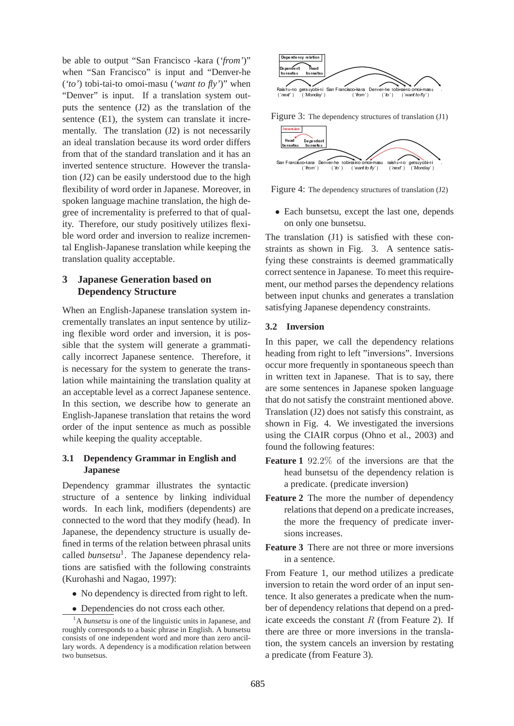be able to output "San Francisco -kara (*'from'*)" when "San Francisco" is input and "Denver-he (*'to'*) tobi-tai-to omoi-masu (*'want to fly'*)" when "Denver" is input. If a translation system outputs the sentence (J2) as the translation of the sentence (E1), the system can translate it incrementally. The translation (J2) is not necessarily an ideal translation because its word order differs from that of the standard translation and it has an inverted sentence structure. However the translation (J2) can be easily understood due to the high flexibility of word order in Japanese. Moreover, in spoken language machine translation, the high degree of incrementality is preferred to that of quality. Therefore, our study positively utilizes flexible word order and inversion to realize incremental English-Japanese translation while keeping the translation quality acceptable.

## **3 Japanese Generation based on Dependency Structure**

When an English-Japanese translation system incrementally translates an input sentence by utilizing flexible word order and inversion, it is possible that the system will generate a grammatically incorrect Japanese sentence. Therefore, it is necessary for the system to generate the translation while maintaining the translation quality at an acceptable level as a correct Japanese sentence. In this section, we describe how to generate an English-Japanese translation that retains the word order of the input sentence as much as possible while keeping the quality acceptable.

## **3.1 Dependency Grammar in English and Japanese**

Dependency grammar illustrates the syntactic structure of a sentence by linking individual words. In each link, modifiers (dependents) are connected to the word that they modify (head). In Japanese, the dependency structure is usually defined in terms of the relation between phrasal units called *bunsetsu*<sup>1</sup>. The Japanese dependency relations are satisfied with the following constraints (Kurohashi and Nagao, 1997):

- No dependency is directed from right to left.
- Dependencies do not cross each other.



Figure 3: The dependency structures of translation (J1)



Figure 4: The dependency structures of translation (J2)

• Each bunsetsu, except the last one, depends on only one bunsetsu.

The translation (J1) is satisfied with these constraints as shown in Fig. 3. A sentence satisfying these constraints is deemed grammatically correct sentence in Japanese. To meet this requirement, our method parses the dependency relations between input chunks and generates a translation satisfying Japanese dependency constraints.

#### **3.2 Inversion**

Castination (Fastination Castination Castination (Fastination (Fastination 1) (We find the station of  $\frac{\text{mmin}}{\text{bound}}$   $\frac{\text{mmin}}{\text{bound}}$   $\frac{\text{mmin}}{\text{bound}}$   $\frac{\text{mmin}}{\text{bound}}$   $\frac{\text{mmin}}{\text{bound}}$  . The dependency structures of translat (next) The dependency structures of translation<br>
(next) The dependency structures of translation<br>
(next) (was in the contract to fluid (next) (was in the contract to fluid) (was in the contract of translation (J1) is sati  $(3\pi\omega)$   $\epsilon_{\text{B}}$  ( $\infty$  (wathof)  $\epsilon_{\text{S}}$  (wathof)  $\epsilon_{\text{S}}$  (wathof)  $\epsilon_{\text{S}}$  (wathof) aging the condition (J1) is satisfied with these comonly one bunsetsu, except the last one, dependently and shown in Fig. 3. : The dependency structures of translation<br>
bumsetsu, except the last one, degly one bumsetsu.<br>
lation (J1) is satisfied with these<br>
s shown in Fig. 3. A sentence<br>
ee constraints is deemed grammat<br>
netence in Japanese. To In this paper, we call the dependency relations heading from right to left "inversions". Inversions occur more frequently in spontaneous speech than in written text in Japanese. That is to say, there are some sentences in Japanese spoken language that do not satisfy the constraint mentioned above. Translation (J2) does not satisfy this constraint, as shown in Fig. 4. We investigated the inversions using the CIAIR corpus (Ohno et al., 2003) and found the following features:

- **Feature 1** 92.2% of the inversions are that the head bunsetsu of the dependency relation is a predicate. (predicate inversion)
- **Feature 2** The more the number of dependency relations that depend on a predicate increases, the more the frequency of predicate inversions increases.
- **Feature 3** There are not three or more inversions in a sentence.

From Feature 1, our method utilizes a predicate inversion to retain the word order of an input sentence. It also generates a predicate when the number of dependency relations that depend on a predicate exceeds the constant  $R$  (from Feature 2). If there are three or more inversions in the translation, the system cancels an inversion by restating a predicate (from Feature 3).

<sup>&</sup>lt;sup>1</sup>A *bunsetsu* is one of the linguistic units in Japanese, and roughly corresponds to a basic phrase in English. A bunsetsu consists of one independent word and more than zero ancillary words. A dependency is a modification relation between two bunsetsus.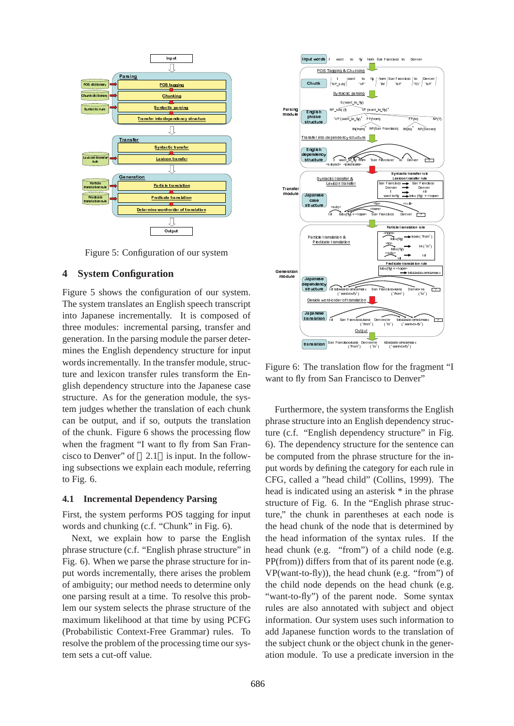

Figure 5: Configuration of our system

#### **4 System Configuration**

Insulation Contraction of the contraction of the contraction of the contraction of the contraction of the contraction of the contraction of the contraction of the contraction of the contraction of the contraction of the co on<br>
on<br>
on<br>
urat uglis<br>
y. Il padd translatic outputs<br>
interactions is interacted<br>
Dush phrune the eed<br>
behavior of the phrune eed<br>
behavior of phrune the eed<br>
behavior of phrune the Giner of phrune the Giner of phrune of **Example a Change and Change and Change and Change and Change and Change and Change and Change and Change and Change and Change and Change and Change and Change and Change and Chan Example 18**<br> **Chunching Chunking Chunking Contracts**<br> **Chunking Chunking Chunking Chunking Chunking Chunking Chunking Chunking Chunking Chunking Chunking Chunking Chunking Chunking Chunking Chunking Chunking Chunking Chun Example 1**<br>
<u>Into dependency</u><br>
Intertigration transfer<br>
Intertigration transfer<br>
Intertigration transfer<br>
Intertigration transfer<br>
Intertigration of control<br>
Intertigration of control<br>
Intertigration of the distribution o Transfer **Examples Examples**<br> **Examples Examples**<br> **Examples Examples**<br> **Examples Examples**<br> **Examples Examples**<br> **Examples Examples**<br> **Examples Examples**<br> **Examples Examples**<br> **Examples Examples And Figure 1**<br> **Examples A Exicon transfer**<br> **Exicon transfer**<br> **Exicon transfer**<br> **Exicon transfer**<br> **Exicon transfer**<br> **Exicon transfer**<br> **Exicon transfer**<br> **Exicon transfer**<br> **Exicon transfer**<br> **Exicon transferrer**<br> **Exicon transferrer into the** article translation<br>
article translation<br>
word order of the monstration<br>
action of figuration<br>
figuration of tion<br>
figuration<br>
English ally. It<br>
tal pars<br>
the transfer of reduced the translation<br>
is input to fly is input t **Product changed and contained and contained and contained and contained and contained and contained and contained and contained and contained and contained and contained and contained and contained and contained and conta Example 1**<br> **Example 1**<br> **Example 1**<br> **Example 1**<br> **Example 1**<br> **Cutput**<br> **Example 1**<br> **Cutput**<br> **Example 1**<br> **Example 1**<br> **Example 1**<br> **Example 1**<br> **Example 1**<br> **Example 1**<br> **Example 1**<br> **Example 1**<br> **Example 1**<br> **Exampl Determine to the Control**<br> **Determine Surfation**<br> **Configuration**<br> **Configuration**<br> **Configuration**<br> **Configuration**<br> **Configuration**<br> **Configuration**<br> **Configuration**<br> **Configuration**<br> **Configuration**<br> **Configuration**<br> Figure 5 shows the configuration of our system. The system translates an English speech transcript into Japanese incrementally. It is composed of three modules: incremental parsing, transfer and generation. In the parsing module the parser determines the English dependency structure for input words incrementally. In the transfer module, structure and lexicon transfer rules transform the English dependency structure into the Japanese case structure. As for the generation module, the system judges whether the translation of each chunk can be output, and if so, outputs the translation of the chunk. Figure 6 shows the processing flow when the fragment "I want to fly from San Francisco to Denver" of 2.1 is input. In the following subsections we explain each module, referring to Fig. 6.

#### **4.1 Incremental Dependency Parsing**

First, the system performs POS tagging for input words and chunking (c.f. "Chunk" in Fig. 6).

Next, we explain how to parse the English phrase structure (c.f. "English phrase structure" in Fig. 6). When we parse the phrase structure for input words incrementally, there arises the problem of ambiguity; our method needs to determine only one parsing result at a time. To resolve this problem our system selects the phrase structure of the maximum likelihood at that time by using PCFG (Probabilistic Context-Free Grammar) rules. To resolve the problem of the processing time our system sets a cut-off value.



Figure 6: The translation flow for the fragment "I want to fly from San Francisco to Denver"

Furthermore, the system transforms the English phrase structure into an English dependency structure (c.f. "English dependency structure" in Fig. 6). The dependency structure for the sentence can be computed from the phrase structure for the input words by defining the category for each rule in CFG, called a "head child" (Collins, 1999). The head is indicated using an asterisk \* in the phrase structure of Fig. 6. In the "English phrase structure," the chunk in parentheses at each node is the head chunk of the node that is determined by the head information of the syntax rules. If the head chunk (e.g. "from") of a child node (e.g. PP(from)) differs from that of its parent node (e.g. VP(want-to-fly)), the head chunk (e.g. "from") of the child node depends on the head chunk (e.g. "want-to-fly") of the parent node. Some syntax rules are also annotated with subject and object information. Our system uses such information to add Japanese function words to the translation of the subject chunk or the object chunk in the generation module. To use a predicate inversion in the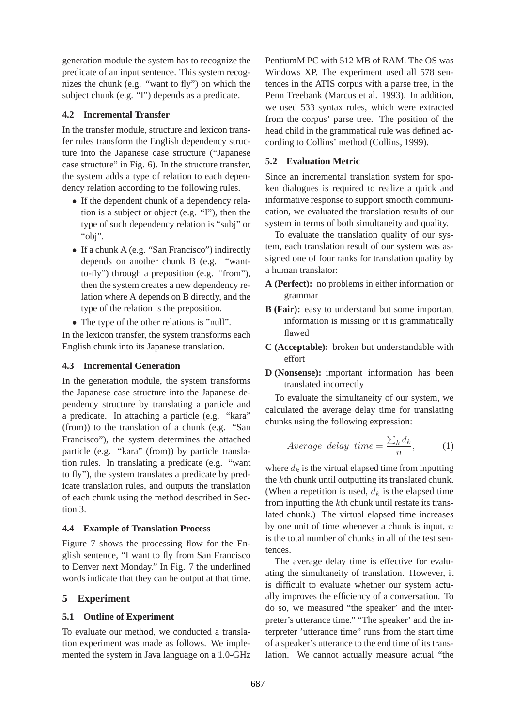generation module the system has to recognize the predicate of an input sentence. This system recognizes the chunk (e.g. "want to fly") on which the subject chunk (e.g. "I") depends as a predicate.

## **4.2 Incremental Transfer**

In the transfer module, structure and lexicon transfer rules transform the English dependency structure into the Japanese case structure ("Japanese case structure" in Fig. 6). In the structure transfer, the system adds a type of relation to each dependency relation according to the following rules.

- If the dependent chunk of a dependency relation is a subject or object (e.g. "I"), then the type of such dependency relation is "subj" or "obj".
- If a chunk A (e.g. "San Francisco") indirectly depends on another chunk B (e.g. "wantto-fly") through a preposition (e.g. "from"), then the system creates a new dependency relation where A depends on B directly, and the type of the relation is the preposition.
- The type of the other relations is "null".

In the lexicon transfer, the system transforms each English chunk into its Japanese translation.

## **4.3 Incremental Generation**

In the generation module, the system transforms the Japanese case structure into the Japanese dependency structure by translating a particle and a predicate. In attaching a particle (e.g. "kara" (from)) to the translation of a chunk (e.g. "San Francisco"), the system determines the attached particle (e.g. "kara" (from)) by particle translation rules. In translating a predicate (e.g. "want to fly"), the system translates a predicate by predicate translation rules, and outputs the translation of each chunk using the method described in Section 3.

#### **4.4 Example of Translation Process**

Figure 7 shows the processing flow for the English sentence, "I want to fly from San Francisco to Denver next Monday." In Fig. 7 the underlined words indicate that they can be output at that time.

# **5 Experiment**

# **5.1 Outline of Experiment**

To evaluate our method, we conducted a translation experiment was made as follows. We implemented the system in Java language on a 1.0-GHz PentiumM PC with 512 MB of RAM. The OS was Windows XP. The experiment used all 578 sentences in the ATIS corpus with a parse tree, in the Penn Treebank (Marcus et al. 1993). In addition, we used 533 syntax rules, which were extracted from the corpus' parse tree. The position of the head child in the grammatical rule was defined according to Collins' method (Collins, 1999).

## **5.2 Evaluation Metric**

Since an incremental translation system for spoken dialogues is required to realize a quick and informative response to support smooth communication, we evaluated the translation results of our system in terms of both simultaneity and quality.

To evaluate the translation quality of our system, each translation result of our system was assigned one of four ranks for translation quality by a human translator:

- **A (Perfect):** no problems in either information or grammar
- **B (Fair):** easy to understand but some important information is missing or it is grammatically flawed
- **C (Acceptable):** broken but understandable with effort
- **D (Nonsense):** important information has been translated incorrectly

To evaluate the simultaneity of our system, we calculated the average delay time for translating chunks using the following expression:

$$
Average \ delay \ time = \frac{\sum_{k} d_k}{n}, \tag{1}
$$

where  $d_k$  is the virtual elapsed time from inputting the kth chunk until outputting its translated chunk. (When a repetition is used,  $d_k$  is the elapsed time from inputting the kth chunk until restate its translated chunk.) The virtual elapsed time increases by one unit of time whenever a chunk is input,  $n$ is the total number of chunks in all of the test sentences.

The average delay time is effective for evaluating the simultaneity of translation. However, it is difficult to evaluate whether our system actually improves the efficiency of a conversation. To do so, we measured "the speaker' and the interpreter's utterance time." "The speaker' and the interpreter 'utterance time" runs from the start time of a speaker's utterance to the end time of its translation. We cannot actually measure actual "the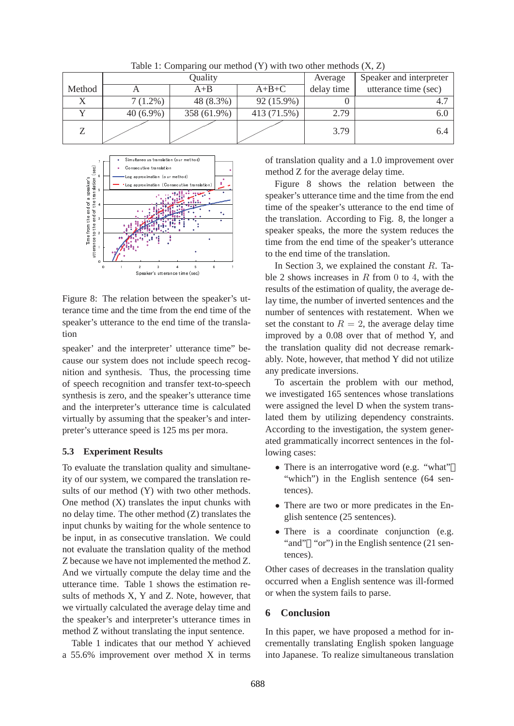|        |             | Quality     | Average     | Speaker and interpreter |                      |
|--------|-------------|-------------|-------------|-------------------------|----------------------|
| Method |             | $A + B$     | $A+B+C$     | delay time              | utterance time (sec) |
|        | $7(1.2\%)$  | 48 (8.3%)   | 92 (15.9%)  |                         |                      |
|        | $40(6.9\%)$ | 358 (61.9%) | 413 (71.5%) | 2.79                    |                      |
|        |             |             |             | 3.79                    | 6.4                  |

Table 1: Comparing our method  $(Y)$  with two other methods  $(X, Z)$ 



Figure 8: The relation between the speaker's utterance time and the time from the end time of the speaker's utterance to the end time of the translation

speaker' and the interpreter' utterance time" because our system does not include speech recognition and synthesis. Thus, the processing time of speech recognition and transfer text-to-speech synthesis is zero, and the speaker's utterance time and the interpreter's utterance time is calculated virtually by assuming that the speaker's and interpreter's utterance speed is 125 ms per mora.

#### **5.3 Experiment Results**

To evaluate the translation quality and simultaneity of our system, we compared the translation results of our method (Y) with two other methods. One method (X) translates the input chunks with no delay time. The other method (Z) translates the input chunks by waiting for the whole sentence to be input, in as consecutive translation. We could not evaluate the translation quality of the method Z because we have not implemented the method Z. And we virtually compute the delay time and the utterance time. Table 1 shows the estimation results of methods X, Y and Z. Note, however, that we virtually calculated the average delay time and the speaker's and interpreter's utterance times in method Z without translating the input sentence.

Table 1 indicates that our method Y achieved a 55.6% improvement over method X in terms of translation quality and a 1.0 improvement over method Z for the average delay time.

Figure 8 shows the relation between the speaker's utterance time and the time from the end time of the speaker's utterance to the end time of the translation. According to Fig. 8, the longer a speaker speaks, the more the system reduces the time from the end time of the speaker's utterance to the end time of the translation.

In Section 3, we explained the constant R. Table 2 shows increases in  $R$  from 0 to 4, with the results of the estimation of quality, the average delay time, the number of inverted sentences and the number of sentences with restatement. When we set the constant to  $R = 2$ , the average delay time improved by a 0.08 over that of method Y, and the translation quality did not decrease remarkably. Note, however, that method Y did not utilize any predicate inversions.

To ascertain the problem with our method, we investigated 165 sentences whose translations were assigned the level D when the system translated them by utilizing dependency constraints. According to the investigation, the system generated grammatically incorrect sentences in the following cases:

- There is an interrogative word (e.g. "what" "which") in the English sentence (64 sentences).
- There are two or more predicates in the English sentence (25 sentences).
- There is a coordinate conjunction (e.g. "and" "or") in the English sentence (21 sentences).

Other cases of decreases in the translation quality occurred when a English sentence was ill-formed or when the system fails to parse.

#### **6 Conclusion**

In this paper, we have proposed a method for incrementally translating English spoken language into Japanese. To realize simultaneous translation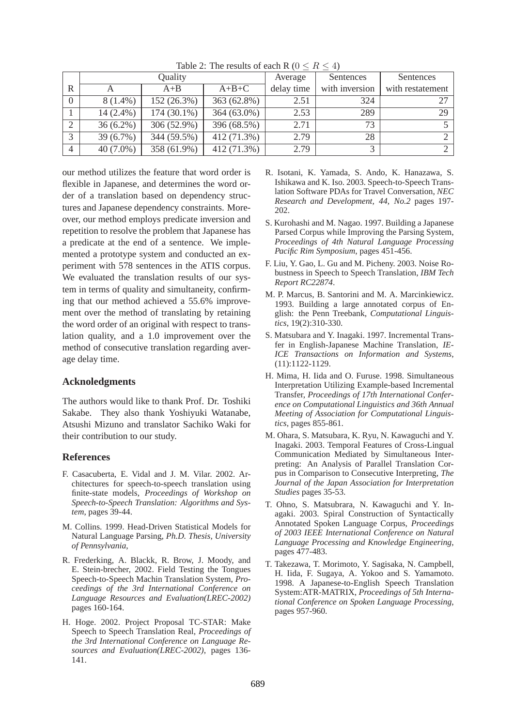|                | Quality     |               |             | Average    | Sentences      | Sentences        |
|----------------|-------------|---------------|-------------|------------|----------------|------------------|
| R              |             | $A + B$       | $A+B+C$     | delay time | with inversion | with restatement |
|                | $8(1.4\%)$  | 152 (26.3%)   | 363 (62.8%) | 2.51       | 324            | 27               |
|                | 14 (2.4%)   | $174(30.1\%)$ | 364 (63.0%) | 2.53       | 289            | 29               |
| $\overline{2}$ | $36(6.2\%)$ | 306 (52.9%)   | 396 (68.5%) | 2.71       | 73             |                  |
| 3              | 39 (6.7%)   | 344 (59.5%)   | 412 (71.3%) | 2.79       | 28             |                  |
| $\overline{4}$ | $40(7.0\%)$ | 358 (61.9%)   | 412 (71.3%) | 2.79       | 2              |                  |

Table 2: The results of each R ( $0 \le R \le 4$ )

our method utilizes the feature that word order is flexible in Japanese, and determines the word order of a translation based on dependency structures and Japanese dependency constraints. Moreover, our method employs predicate inversion and repetition to resolve the problem that Japanese has a predicate at the end of a sentence. We implemented a prototype system and conducted an experiment with 578 sentences in the ATIS corpus. We evaluated the translation results of our system in terms of quality and simultaneity, confirming that our method achieved a 55.6% improvement over the method of translating by retaining the word order of an original with respect to translation quality, and a 1.0 improvement over the method of consecutive translation regarding average delay time.

#### **Acknoledgments**

The authors would like to thank Prof. Dr. Toshiki Sakabe. They also thank Yoshiyuki Watanabe, Atsushi Mizuno and translator Sachiko Waki for their contribution to our study.

# **References**

- F. Casacuberta, E. Vidal and J. M. Vilar. 2002. Architectures for speech-to-speech translation using finite-state models, *Proceedings of Workshop on Speech-to-Speech Translation: Algorithms and System*, pages 39-44.
- M. Collins. 1999. Head-Driven Statistical Models for Natural Language Parsing, *Ph.D. Thesis, University of Pennsylvania*,
- R. Frederking, A. Blackk, R. Brow, J. Moody, and E. Stein-brecher, 2002. Field Testing the Tongues Speech-to-Speech Machin Translation System, *Proceedings of the 3rd International Conference on Language Resources and Evaluation(LREC-2002)* pages 160-164.
- H. Hoge. 2002. Project Proposal TC-STAR: Make Speech to Speech Translation Real, *Proceedings of the 3rd International Conference on Language Resources and Evaluation(LREC-2002)*, pages 136- 141.
- R. Isotani, K. Yamada, S. Ando, K. Hanazawa, S. Ishikawa and K. Iso. 2003. Speech-to-Speech Translation Software PDAs for Travel Conversation, *NEC Research and Development, 44, No.2* pages 197- 202.
- S. Kurohashi and M. Nagao. 1997. Building a Japanese Parsed Corpus while Improving the Parsing System, *Proceedings of 4th Natural Language Processing Pacific Rim Symposium*, pages 451-456.
- F. Liu, Y. Gao, L. Gu and M. Picheny. 2003. Noise Robustness in Speech to Speech Translation, *IBM Tech Report RC22874*.
- M. P. Marcus, B. Santorini and M. A. Marcinkiewicz. 1993. Building a large annotated corpus of English: the Penn Treebank, *Computational Linguistics*, 19(2):310-330.
- S. Matsubara and Y. Inagaki. 1997. Incremental Transfer in English-Japanese Machine Translation, *IE-ICE Transactions on Information and Systems*, (11):1122-1129.
- H. Mima, H. Iida and O. Furuse. 1998. Simultaneous Interpretation Utilizing Example-based Incremental Transfer, *Proceedings of 17th International Conference on Computational Linguistics and 36th Annual Meeting of Association for Computational Linguistics*, pages 855-861.
- M. Ohara, S. Matsubara, K. Ryu, N. Kawaguchi and Y. Inagaki. 2003. Temporal Features of Cross-Lingual Communication Mediated by Simultaneous Interpreting: An Analysis of Parallel Translation Corpus in Comparison to Consecutive Interpreting, *The Journal of the Japan Association for Interpretation Studies* pages 35-53.
- T. Ohno, S. Matsubrara, N. Kawaguchi and Y. Inagaki. 2003. Spiral Construction of Syntactically Annotated Spoken Language Corpus, *Proceedings of 2003 IEEE International Conference on Natural Language Processing and Knowledge Engineering*, pages 477-483.
- T. Takezawa, T. Morimoto, Y. Sagisaka, N. Campbell, H. Iida, F. Sugaya, A. Yokoo and S. Yamamoto. 1998. A Japanese-to-English Speech Translation System:ATR-MATRIX, *Proceedings of 5th International Conference on Spoken Language Processing*, pages 957-960.